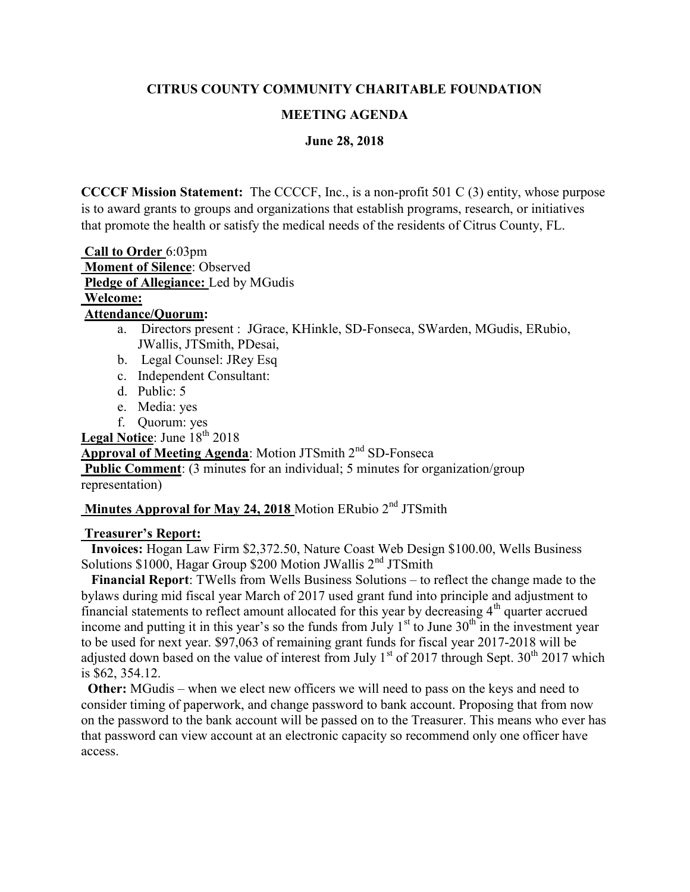## CITRUS COUNTY COMMUNITY CHARITABLE FOUNDATION

#### MEETING AGENDA

#### June 28, 2018

CCCCF Mission Statement: The CCCCF, Inc., is a non-profit 501 C (3) entity, whose purpose is to award grants to groups and organizations that establish programs, research, or initiatives that promote the health or satisfy the medical needs of the residents of Citrus County, FL.

 Call to Order 6:03pm Moment of Silence: Observed Pledge of Allegiance: Led by MGudis Welcome:

#### Attendance/Quorum:

- a. Directors present : JGrace, KHinkle, SD-Fonseca, SWarden, MGudis, ERubio, JWallis, JTSmith, PDesai,
- b. Legal Counsel: JRey Esq
- c. Independent Consultant:
- d. Public: 5
- e. Media: yes
- f. Quorum: yes

Legal Notice: June  $18<sup>th</sup> 2018$ 

Approval of Meeting Agenda: Motion JTSmith 2<sup>nd</sup> SD-Fonseca Public Comment: (3 minutes for an individual; 5 minutes for organization/group representation)

# Minutes Approval for May 24, 2018 Motion ERubio  $2<sup>nd</sup> JT Smith$

#### Treasurer's Report:

 Invoices: Hogan Law Firm \$2,372.50, Nature Coast Web Design \$100.00, Wells Business Solutions  $$1000$ , Hagar Group  $$200$  Motion JWallis  $2<sup>nd</sup>$  JTSmith

 Financial Report: TWells from Wells Business Solutions – to reflect the change made to the bylaws during mid fiscal year March of 2017 used grant fund into principle and adjustment to financial statements to reflect amount allocated for this year by decreasing  $4<sup>th</sup>$  quarter accrued income and putting it in this year's so the funds from July  $1<sup>st</sup>$  to June  $30<sup>th</sup>$  in the investment year to be used for next year. \$97,063 of remaining grant funds for fiscal year 2017-2018 will be adjusted down based on the value of interest from July 1<sup>st</sup> of 2017 through Sept.  $30^{th}$  2017 which is \$62, 354.12.

 Other: MGudis – when we elect new officers we will need to pass on the keys and need to consider timing of paperwork, and change password to bank account. Proposing that from now on the password to the bank account will be passed on to the Treasurer. This means who ever has that password can view account at an electronic capacity so recommend only one officer have access.